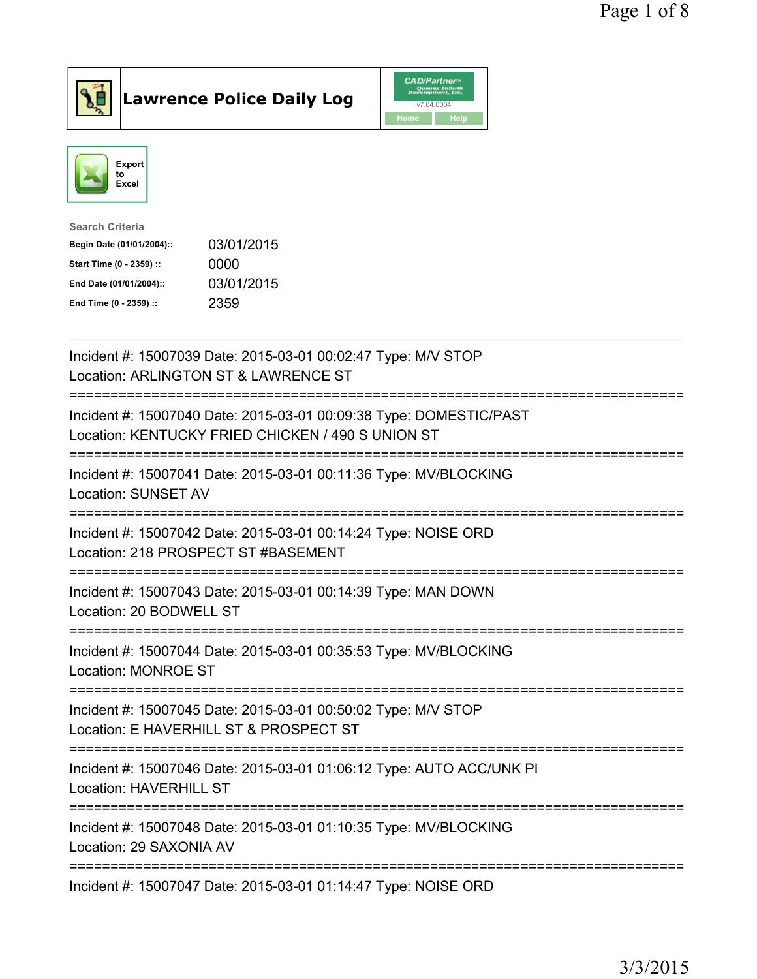

**Lawrence Police Daily Log** 



| <b>Search Criteria</b>    |            |
|---------------------------|------------|
| Begin Date (01/01/2004):: | 03/01/2015 |
| Start Time (0 - 2359) ::  | 0000       |
| End Date (01/01/2004)::   | 03/01/2015 |
| End Time (0 - 2359) ::    | 2359       |
|                           |            |

| Incident #: 15007039 Date: 2015-03-01 00:02:47 Type: M/V STOP<br>Location: ARLINGTON ST & LAWRENCE ST                                           |
|-------------------------------------------------------------------------------------------------------------------------------------------------|
| Incident #: 15007040 Date: 2015-03-01 00:09:38 Type: DOMESTIC/PAST<br>Location: KENTUCKY FRIED CHICKEN / 490 S UNION ST                         |
| Incident #: 15007041 Date: 2015-03-01 00:11:36 Type: MV/BLOCKING<br>Location: SUNSET AV                                                         |
| Incident #: 15007042 Date: 2015-03-01 00:14:24 Type: NOISE ORD<br>Location: 218 PROSPECT ST #BASEMENT                                           |
| Incident #: 15007043 Date: 2015-03-01 00:14:39 Type: MAN DOWN<br>Location: 20 BODWELL ST<br>=====================================               |
| Incident #: 15007044 Date: 2015-03-01 00:35:53 Type: MV/BLOCKING<br>Location: MONROE ST                                                         |
| Incident #: 15007045 Date: 2015-03-01 00:50:02 Type: M/V STOP<br>Location: E HAVERHILL ST & PROSPECT ST<br>:=================================== |
| Incident #: 15007046 Date: 2015-03-01 01:06:12 Type: AUTO ACC/UNK PI<br><b>Location: HAVERHILL ST</b><br>.------------------                    |
| Incident #: 15007048 Date: 2015-03-01 01:10:35 Type: MV/BLOCKING<br>Location: 29 SAXONIA AV                                                     |
| Incident #: 15007047 Date: 2015-03-01 01:14:47 Type: NOISE ORD                                                                                  |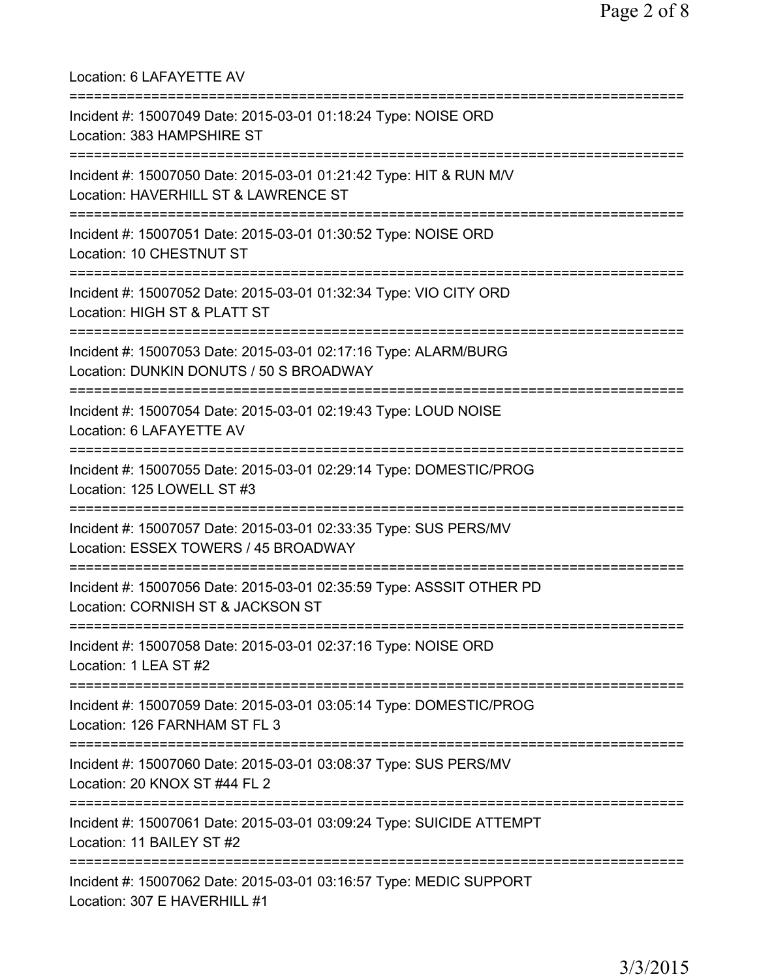| Location: 6 LAFAYETTE AV                                                                                                                             |
|------------------------------------------------------------------------------------------------------------------------------------------------------|
| Incident #: 15007049 Date: 2015-03-01 01:18:24 Type: NOISE ORD<br>Location: 383 HAMPSHIRE ST                                                         |
| Incident #: 15007050 Date: 2015-03-01 01:21:42 Type: HIT & RUN M/V<br>Location: HAVERHILL ST & LAWRENCE ST<br>====================================== |
| Incident #: 15007051 Date: 2015-03-01 01:30:52 Type: NOISE ORD<br>Location: 10 CHESTNUT ST                                                           |
| ====================================<br>Incident #: 15007052 Date: 2015-03-01 01:32:34 Type: VIO CITY ORD<br>Location: HIGH ST & PLATT ST            |
| ===================================<br>Incident #: 15007053 Date: 2015-03-01 02:17:16 Type: ALARM/BURG<br>Location: DUNKIN DONUTS / 50 S BROADWAY    |
| Incident #: 15007054 Date: 2015-03-01 02:19:43 Type: LOUD NOISE<br>Location: 6 LAFAYETTE AV                                                          |
| Incident #: 15007055 Date: 2015-03-01 02:29:14 Type: DOMESTIC/PROG<br>Location: 125 LOWELL ST #3                                                     |
| Incident #: 15007057 Date: 2015-03-01 02:33:35 Type: SUS PERS/MV<br>Location: ESSEX TOWERS / 45 BROADWAY                                             |
| Incident #: 15007056 Date: 2015-03-01 02:35:59 Type: ASSSIT OTHER PD<br>Location: CORNISH ST & JACKSON ST                                            |
| Incident #: 15007058 Date: 2015-03-01 02:37:16 Type: NOISE ORD<br>Location: 1 LEA ST #2                                                              |
| Incident #: 15007059 Date: 2015-03-01 03:05:14 Type: DOMESTIC/PROG<br>Location: 126 FARNHAM ST FL 3                                                  |
| Incident #: 15007060 Date: 2015-03-01 03:08:37 Type: SUS PERS/MV<br>Location: 20 KNOX ST #44 FL 2                                                    |
| Incident #: 15007061 Date: 2015-03-01 03:09:24 Type: SUICIDE ATTEMPT<br>Location: 11 BAILEY ST #2                                                    |
| Incident #: 15007062 Date: 2015-03-01 03:16:57 Type: MEDIC SUPPORT<br>Location: 307 E HAVERHILL #1                                                   |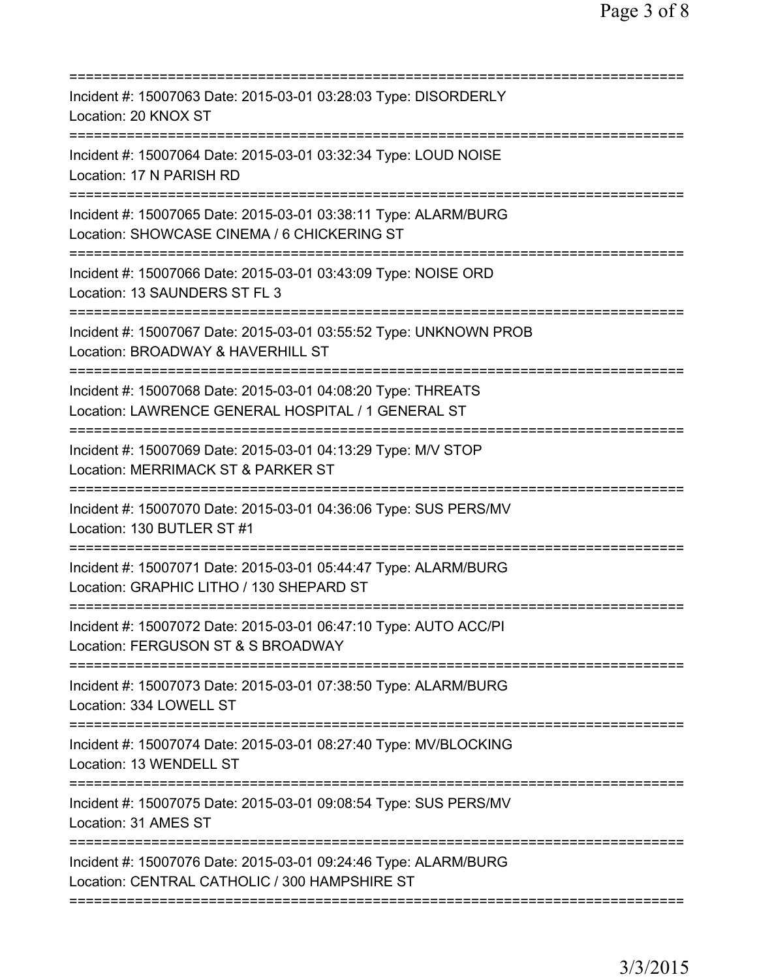| Incident #: 15007063 Date: 2015-03-01 03:28:03 Type: DISORDERLY<br>Location: 20 KNOX ST                                                        |
|------------------------------------------------------------------------------------------------------------------------------------------------|
| Incident #: 15007064 Date: 2015-03-01 03:32:34 Type: LOUD NOISE<br>Location: 17 N PARISH RD                                                    |
| Incident #: 15007065 Date: 2015-03-01 03:38:11 Type: ALARM/BURG<br>Location: SHOWCASE CINEMA / 6 CHICKERING ST                                 |
| Incident #: 15007066 Date: 2015-03-01 03:43:09 Type: NOISE ORD<br>Location: 13 SAUNDERS ST FL 3                                                |
| Incident #: 15007067 Date: 2015-03-01 03:55:52 Type: UNKNOWN PROB<br>Location: BROADWAY & HAVERHILL ST                                         |
| ========================<br>Incident #: 15007068 Date: 2015-03-01 04:08:20 Type: THREATS<br>Location: LAWRENCE GENERAL HOSPITAL / 1 GENERAL ST |
| Incident #: 15007069 Date: 2015-03-01 04:13:29 Type: M/V STOP<br>Location: MERRIMACK ST & PARKER ST<br>==============================          |
| Incident #: 15007070 Date: 2015-03-01 04:36:06 Type: SUS PERS/MV<br>Location: 130 BUTLER ST #1<br>=============                                |
| Incident #: 15007071 Date: 2015-03-01 05:44:47 Type: ALARM/BURG<br>Location: GRAPHIC LITHO / 130 SHEPARD ST                                    |
| Incident #: 15007072 Date: 2015-03-01 06:47:10 Type: AUTO ACC/PI<br>Location: FERGUSON ST & S BROADWAY                                         |
| Incident #: 15007073 Date: 2015-03-01 07:38:50 Type: ALARM/BURG<br>Location: 334 LOWELL ST                                                     |
| Incident #: 15007074 Date: 2015-03-01 08:27:40 Type: MV/BLOCKING<br>Location: 13 WENDELL ST                                                    |
| Incident #: 15007075 Date: 2015-03-01 09:08:54 Type: SUS PERS/MV<br>Location: 31 AMES ST                                                       |
| Incident #: 15007076 Date: 2015-03-01 09:24:46 Type: ALARM/BURG<br>Location: CENTRAL CATHOLIC / 300 HAMPSHIRE ST                               |
|                                                                                                                                                |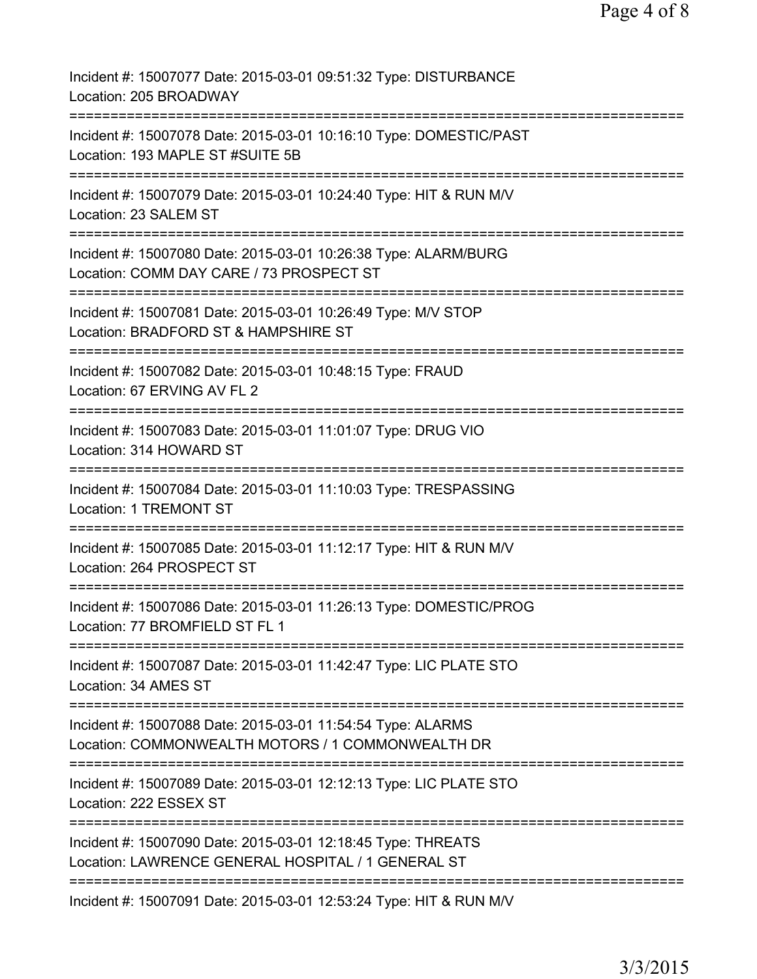| Incident #: 15007077 Date: 2015-03-01 09:51:32 Type: DISTURBANCE<br>Location: 205 BROADWAY                                                         |
|----------------------------------------------------------------------------------------------------------------------------------------------------|
| Incident #: 15007078 Date: 2015-03-01 10:16:10 Type: DOMESTIC/PAST<br>Location: 193 MAPLE ST #SUITE 5B                                             |
| Incident #: 15007079 Date: 2015-03-01 10:24:40 Type: HIT & RUN M/V<br>Location: 23 SALEM ST                                                        |
| Incident #: 15007080 Date: 2015-03-01 10:26:38 Type: ALARM/BURG<br>Location: COMM DAY CARE / 73 PROSPECT ST<br>:================================== |
| Incident #: 15007081 Date: 2015-03-01 10:26:49 Type: M/V STOP<br>Location: BRADFORD ST & HAMPSHIRE ST<br>-------------                             |
| Incident #: 15007082 Date: 2015-03-01 10:48:15 Type: FRAUD<br>Location: 67 ERVING AV FL 2<br>;==================================                   |
| Incident #: 15007083 Date: 2015-03-01 11:01:07 Type: DRUG VIO<br>Location: 314 HOWARD ST<br>================================                       |
| Incident #: 15007084 Date: 2015-03-01 11:10:03 Type: TRESPASSING<br>Location: 1 TREMONT ST<br>====================================                 |
| Incident #: 15007085 Date: 2015-03-01 11:12:17 Type: HIT & RUN M/V<br>Location: 264 PROSPECT ST                                                    |
| Incident #: 15007086 Date: 2015-03-01 11:26:13 Type: DOMESTIC/PROG<br>Location: 77 BROMFIELD ST FL 1                                               |
| Incident #: 15007087 Date: 2015-03-01 11:42:47 Type: LIC PLATE STO<br>Location: 34 AMES ST                                                         |
| Incident #: 15007088 Date: 2015-03-01 11:54:54 Type: ALARMS<br>Location: COMMONWEALTH MOTORS / 1 COMMONWEALTH DR                                   |
| =====================================<br>Incident #: 15007089 Date: 2015-03-01 12:12:13 Type: LIC PLATE STO<br>Location: 222 ESSEX ST              |
| Incident #: 15007090 Date: 2015-03-01 12:18:45 Type: THREATS<br>Location: LAWRENCE GENERAL HOSPITAL / 1 GENERAL ST                                 |
| Incident #: 15007091 Date: 2015-03-01 12:53:24 Type: HIT & RUN M/V                                                                                 |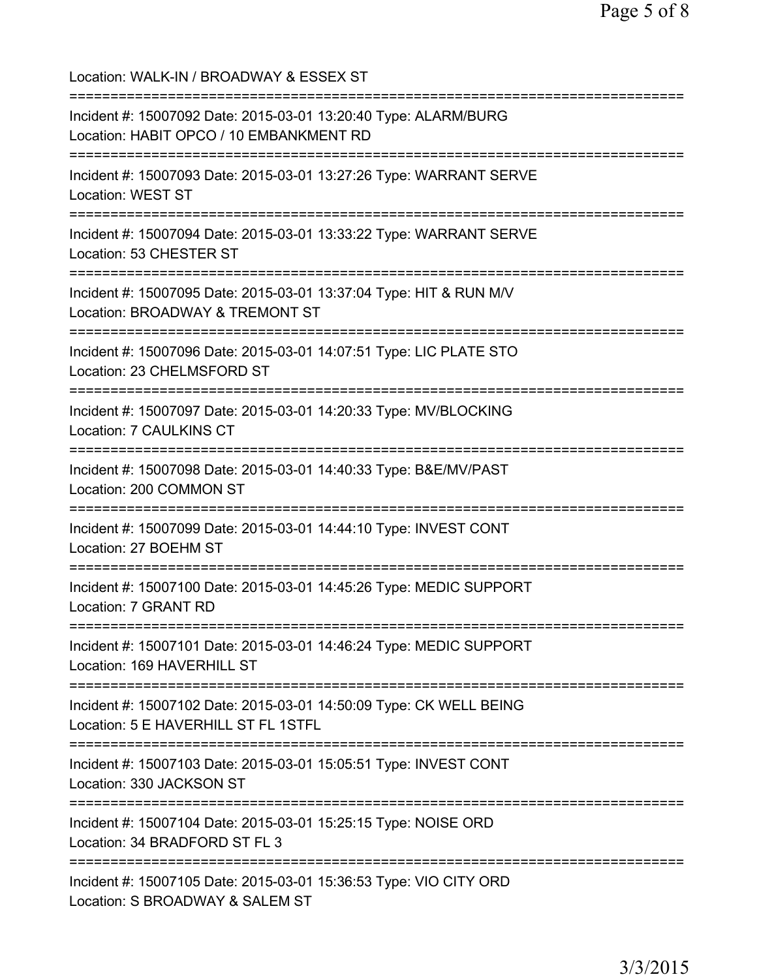Location: WALK-IN / BROADWAY & ESSEX ST =========================================================================== Incident #: 15007092 Date: 2015-03-01 13:20:40 Type: ALARM/BURG Location: HABIT OPCO / 10 EMBANKMENT RD =========================================================================== Incident #: 15007093 Date: 2015-03-01 13:27:26 Type: WARRANT SERVE Location: WEST ST =========================================================================== Incident #: 15007094 Date: 2015-03-01 13:33:22 Type: WARRANT SERVE Location: 53 CHESTER ST =========================================================================== Incident #: 15007095 Date: 2015-03-01 13:37:04 Type: HIT & RUN M/V Location: BROADWAY & TREMONT ST =========================================================================== Incident #: 15007096 Date: 2015-03-01 14:07:51 Type: LIC PLATE STO Location: 23 CHELMSFORD ST =========================================================================== Incident #: 15007097 Date: 2015-03-01 14:20:33 Type: MV/BLOCKING Location: 7 CAULKINS CT =========================================================================== Incident #: 15007098 Date: 2015-03-01 14:40:33 Type: B&E/MV/PAST Location: 200 COMMON ST =========================================================================== Incident #: 15007099 Date: 2015-03-01 14:44:10 Type: INVEST CONT Location: 27 BOEHM ST =========================================================================== Incident #: 15007100 Date: 2015-03-01 14:45:26 Type: MEDIC SUPPORT Location: 7 GRANT RD =========================================================================== Incident #: 15007101 Date: 2015-03-01 14:46:24 Type: MEDIC SUPPORT Location: 169 HAVERHILL ST =========================================================================== Incident #: 15007102 Date: 2015-03-01 14:50:09 Type: CK WELL BEING Location: 5 E HAVERHILL ST FL 1STFL =========================================================================== Incident #: 15007103 Date: 2015-03-01 15:05:51 Type: INVEST CONT Location: 330 JACKSON ST =========================================================================== Incident #: 15007104 Date: 2015-03-01 15:25:15 Type: NOISE ORD Location: 34 BRADFORD ST FL 3 =========================================================================== Incident #: 15007105 Date: 2015-03-01 15:36:53 Type: VIO CITY ORD Location: S BROADWAY & SALEM ST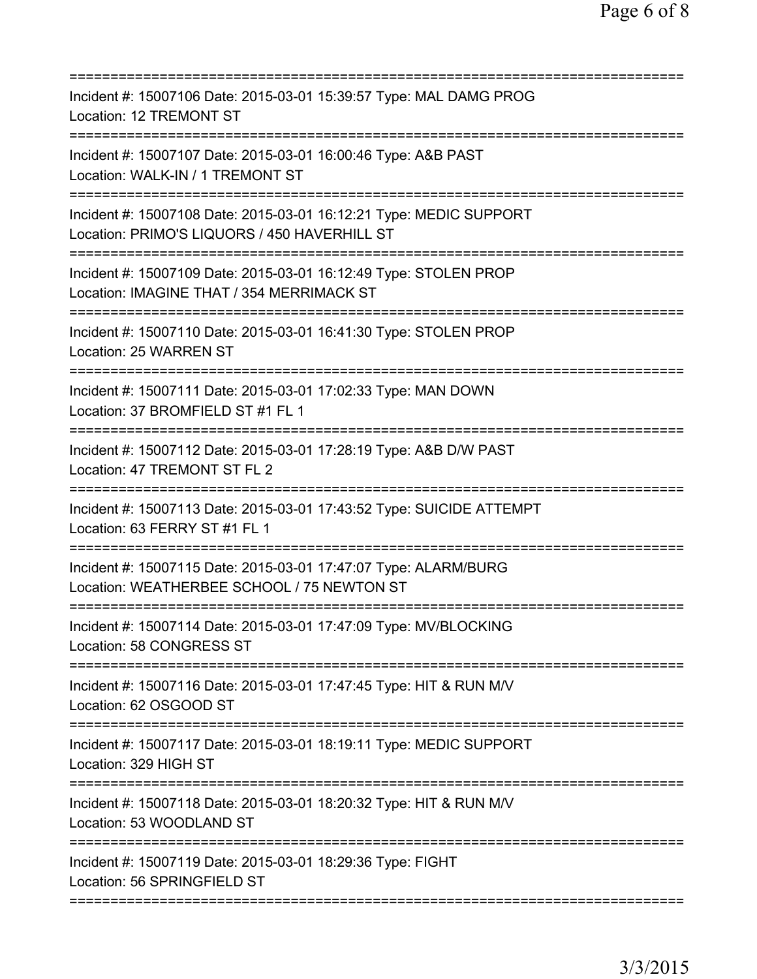| Incident #: 15007106 Date: 2015-03-01 15:39:57 Type: MAL DAMG PROG<br>Location: 12 TREMONT ST                                                         |
|-------------------------------------------------------------------------------------------------------------------------------------------------------|
| Incident #: 15007107 Date: 2015-03-01 16:00:46 Type: A&B PAST<br>Location: WALK-IN / 1 TREMONT ST                                                     |
| Incident #: 15007108 Date: 2015-03-01 16:12:21 Type: MEDIC SUPPORT<br>Location: PRIMO'S LIQUORS / 450 HAVERHILL ST                                    |
| Incident #: 15007109 Date: 2015-03-01 16:12:49 Type: STOLEN PROP<br>Location: IMAGINE THAT / 354 MERRIMACK ST<br>==================================== |
| Incident #: 15007110 Date: 2015-03-01 16:41:30 Type: STOLEN PROP<br>Location: 25 WARREN ST                                                            |
| ;===============================<br>Incident #: 15007111 Date: 2015-03-01 17:02:33 Type: MAN DOWN<br>Location: 37 BROMFIELD ST #1 FL 1                |
| Incident #: 15007112 Date: 2015-03-01 17:28:19 Type: A&B D/W PAST<br>Location: 47 TREMONT ST FL 2                                                     |
| Incident #: 15007113 Date: 2015-03-01 17:43:52 Type: SUICIDE ATTEMPT<br>Location: 63 FERRY ST #1 FL 1<br>=========                                    |
| Incident #: 15007115 Date: 2015-03-01 17:47:07 Type: ALARM/BURG<br>Location: WEATHERBEE SCHOOL / 75 NEWTON ST                                         |
| Incident #: 15007114 Date: 2015-03-01 17:47:09 Type: MV/BLOCKING<br>Location: 58 CONGRESS ST                                                          |
| Incident #: 15007116 Date: 2015-03-01 17:47:45 Type: HIT & RUN M/V<br>Location: 62 OSGOOD ST                                                          |
| Incident #: 15007117 Date: 2015-03-01 18:19:11 Type: MEDIC SUPPORT<br>Location: 329 HIGH ST                                                           |
| Incident #: 15007118 Date: 2015-03-01 18:20:32 Type: HIT & RUN M/V<br>Location: 53 WOODLAND ST                                                        |
| Incident #: 15007119 Date: 2015-03-01 18:29:36 Type: FIGHT<br>Location: 56 SPRINGFIELD ST                                                             |
|                                                                                                                                                       |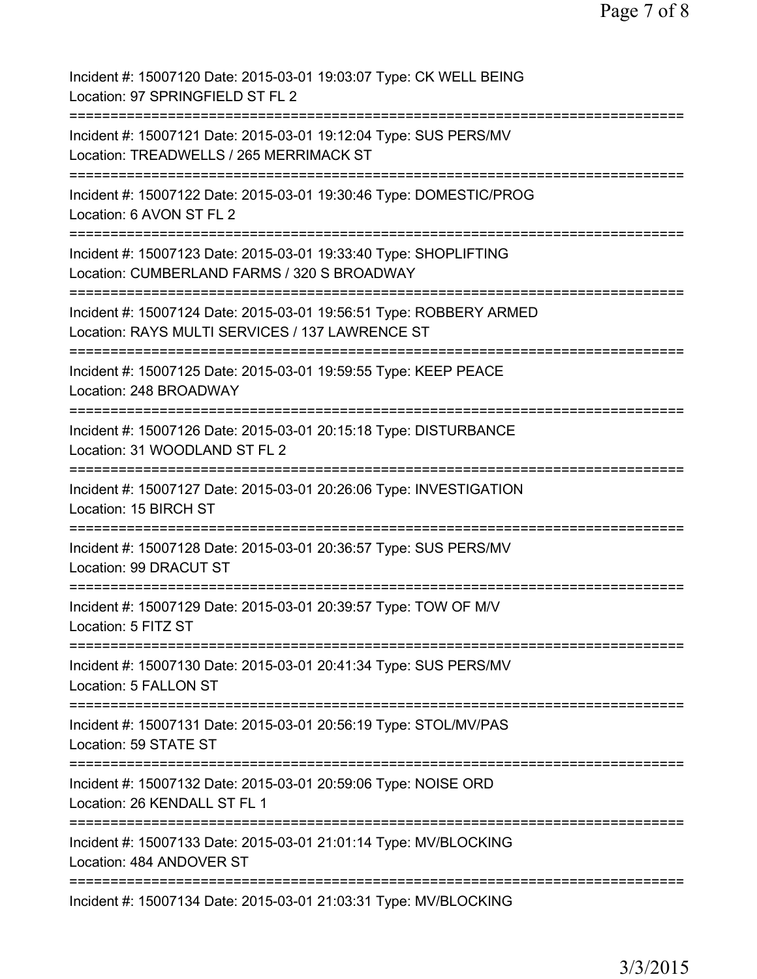Incident #: 15007120 Date: 2015-03-01 19:03:07 Type: CK WELL BEING Location: 97 SPRINGFIELD ST FL 2 =========================================================================== Incident #: 15007121 Date: 2015-03-01 19:12:04 Type: SUS PERS/MV Location: TREADWELLS / 265 MERRIMACK ST =========================================================================== Incident #: 15007122 Date: 2015-03-01 19:30:46 Type: DOMESTIC/PROG Location: 6 AVON ST FL 2 =========================================================================== Incident #: 15007123 Date: 2015-03-01 19:33:40 Type: SHOPLIFTING Location: CUMBERLAND FARMS / 320 S BROADWAY =========================================================================== Incident #: 15007124 Date: 2015-03-01 19:56:51 Type: ROBBERY ARMED Location: RAYS MULTI SERVICES / 137 LAWRENCE ST =========================================================================== Incident #: 15007125 Date: 2015-03-01 19:59:55 Type: KEEP PEACE Location: 248 BROADWAY =========================================================================== Incident #: 15007126 Date: 2015-03-01 20:15:18 Type: DISTURBANCE Location: 31 WOODLAND ST FL 2 =========================================================================== Incident #: 15007127 Date: 2015-03-01 20:26:06 Type: INVESTIGATION Location: 15 BIRCH ST =========================================================================== Incident #: 15007128 Date: 2015-03-01 20:36:57 Type: SUS PERS/MV Location: 99 DRACUT ST =========================================================================== Incident #: 15007129 Date: 2015-03-01 20:39:57 Type: TOW OF M/V Location: 5 FITZ ST =========================================================================== Incident #: 15007130 Date: 2015-03-01 20:41:34 Type: SUS PERS/MV Location: 5 FALLON ST =========================================================================== Incident #: 15007131 Date: 2015-03-01 20:56:19 Type: STOL/MV/PAS Location: 59 STATE ST =========================================================================== Incident #: 15007132 Date: 2015-03-01 20:59:06 Type: NOISE ORD Location: 26 KENDALL ST FL 1 =========================================================================== Incident #: 15007133 Date: 2015-03-01 21:01:14 Type: MV/BLOCKING Location: 484 ANDOVER ST =========================================================================== Incident #: 15007134 Date: 2015-03-01 21:03:31 Type: MV/BLOCKING